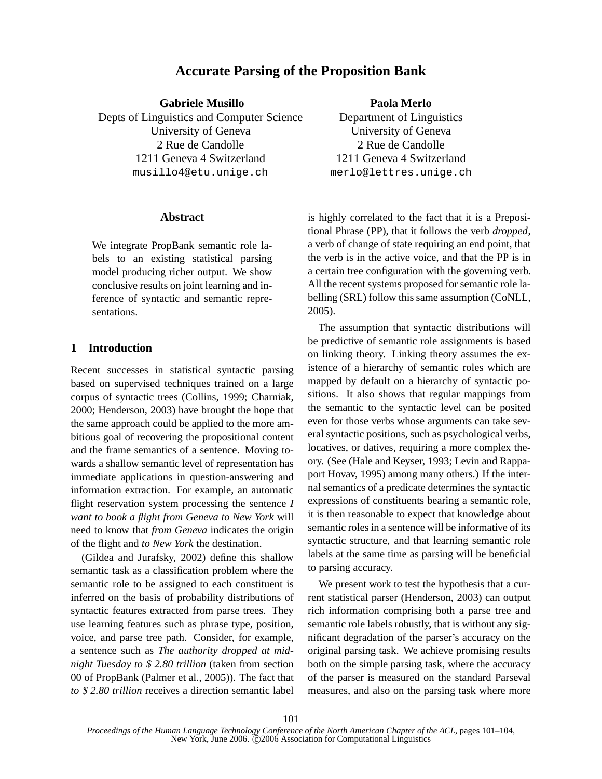# **Accurate Parsing of the Proposition Bank**

**Gabriele Musillo** Depts of Linguistics and Computer Science University of Geneva 2 Rue de Candolle 1211 Geneva 4 Switzerland musillo4@etu.unige.ch

### **Abstract**

We integrate PropBank semantic role labels to an existing statistical parsing model producing richer output. We show conclusive results on joint learning and inference of syntactic and semantic representations.

## **1 Introduction**

Recent successes in statistical syntactic parsing based on supervised techniques trained on a large corpus of syntactic trees (Collins, 1999; Charniak, 2000; Henderson, 2003) have brought the hope that the same approach could be applied to the more ambitious goal of recovering the propositional content and the frame semantics of a sentence. Moving towards a shallow semantic level of representation has immediate applications in question-answering and information extraction. For example, an automatic flight reservation system processing the sentence *I want to book a flight from Geneva to New York* will need to know that *from Geneva* indicates the origin of the flight and *to New York* the destination.

(Gildea and Jurafsky, 2002) define this shallow semantic task as a classification problem where the semantic role to be assigned to each constituent is inferred on the basis of probability distributions of syntactic features extracted from parse trees. They use learning features such as phrase type, position, voice, and parse tree path. Consider, for example, a sentence such as *The authority dropped at midnight Tuesday to* \$ *2.80 trillion* (taken from section 00 of PropBank (Palmer et al., 2005)). The fact that *to* \$ *2.80 trillion* receives a direction semantic label

**Paola Merlo** Department of Linguistics University of Geneva 2 Rue de Candolle 1211 Geneva 4 Switzerland merlo@lettres.unige.ch

is highly correlated to the fact that it is a Prepositional Phrase (PP), that it follows the verb *dropped*, a verb of change of state requiring an end point, that the verb is in the active voice, and that the PP is in a certain tree configuration with the governing verb. All the recent systems proposed for semantic role labelling (SRL) follow this same assumption (CoNLL, 2005).

The assumption that syntactic distributions will be predictive of semantic role assignments is based on linking theory. Linking theory assumes the existence of a hierarchy of semantic roles which are mapped by default on a hierarchy of syntactic positions. It also shows that regular mappings from the semantic to the syntactic level can be posited even for those verbs whose arguments can take several syntactic positions, such as psychological verbs, locatives, or datives, requiring a more complex theory. (See (Hale and Keyser, 1993; Levin and Rappaport Hovav, 1995) among many others.) If the internal semantics of a predicate determines the syntactic expressions of constituents bearing a semantic role, it is then reasonable to expect that knowledge about semantic roles in a sentence will be informative of its syntactic structure, and that learning semantic role labels at the same time as parsing will be beneficial to parsing accuracy.

We present work to test the hypothesis that a current statistical parser (Henderson, 2003) can output rich information comprising both a parse tree and semantic role labels robustly, that is without any significant degradation of the parser's accuracy on the original parsing task. We achieve promising results both on the simple parsing task, where the accuracy of the parser is measured on the standard Parseval measures, and also on the parsing task where more

*Proceedings of the Human Language Technology Conference of the North American Chapter of the ACL*, pages 101–104, New York, June 2006. C 2006 Association for Computational Linguistics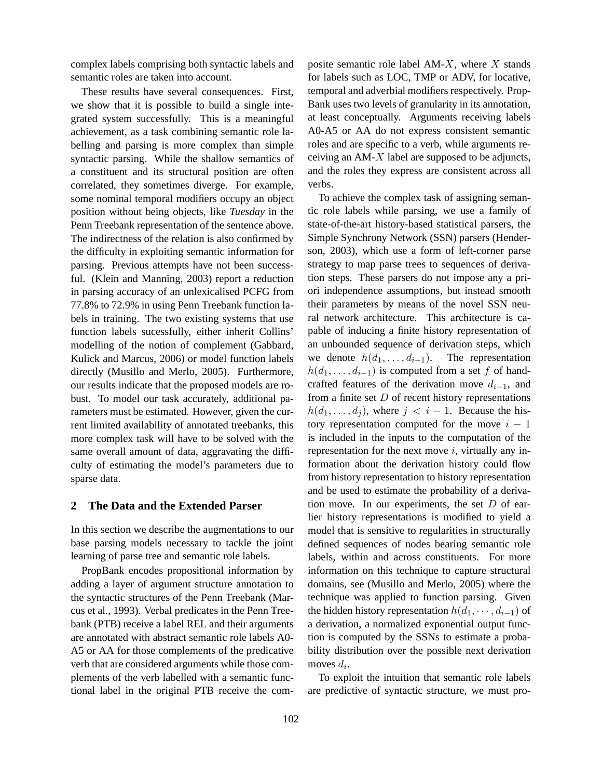complex labels comprising both syntactic labels and semantic roles are taken into account.

These results have several consequences. First, we show that it is possible to build a single integrated system successfully. This is a meaningful achievement, as a task combining semantic role labelling and parsing is more complex than simple syntactic parsing. While the shallow semantics of a constituent and its structural position are often correlated, they sometimes diverge. For example, some nominal temporal modifiers occupy an object position without being objects, like *Tuesday* in the Penn Treebank representation of the sentence above. The indirectness of the relation is also confirmed by the difficulty in exploiting semantic information for parsing. Previous attempts have not been successful. (Klein and Manning, 2003) report a reduction in parsing accuracy of an unlexicalised PCFG from 77.8% to 72.9% in using Penn Treebank function labels in training. The two existing systems that use function labels sucessfully, either inherit Collins' modelling of the notion of complement (Gabbard, Kulick and Marcus, 2006) or model function labels directly (Musillo and Merlo, 2005). Furthermore, our results indicate that the proposed models are robust. To model our task accurately, additional parameters must be estimated. However, given the current limited availability of annotated treebanks, this more complex task will have to be solved with the same overall amount of data, aggravating the difficulty of estimating the model's parameters due to sparse data.

## **2 The Data and the Extended Parser**

In this section we describe the augmentations to our base parsing models necessary to tackle the joint learning of parse tree and semantic role labels.

PropBank encodes propositional information by adding a layer of argument structure annotation to the syntactic structures of the Penn Treebank (Marcus et al., 1993). Verbal predicates in the Penn Treebank (PTB) receive a label REL and their arguments are annotated with abstract semantic role labels A0- A5 or AA for those complements of the predicative verb that are considered arguments while those complements of the verb labelled with a semantic functional label in the original PTB receive the composite semantic role label  $AM-X$ , where X stands for labels such as LOC, TMP or ADV, for locative, temporal and adverbial modifiers respectively. Prop-Bank uses two levels of granularity in its annotation, at least conceptually. Arguments receiving labels A0-A5 or AA do not express consistent semantic roles and are specific to a verb, while arguments receiving an  $AM-X$  label are supposed to be adjuncts, and the roles they express are consistent across all verbs.

To achieve the complex task of assigning semantic role labels while parsing, we use a family of state-of-the-art history-based statistical parsers, the Simple Synchrony Network (SSN) parsers (Henderson, 2003), which use a form of left-corner parse strategy to map parse trees to sequences of derivation steps. These parsers do not impose any a priori independence assumptions, but instead smooth their parameters by means of the novel SSN neural network architecture. This architecture is capable of inducing a finite history representation of an unbounded sequence of derivation steps, which we denote  $h(d_1, \ldots, d_{i-1})$ . The representation  $h(d_1, \ldots, d_{i-1})$  is computed from a set f of handcrafted features of the derivation move  $d_{i-1}$ , and from a finite set  $D$  of recent history representations  $h(d_1, \ldots, d_i)$ , where  $j < i - 1$ . Because the history representation computed for the move  $i - 1$ is included in the inputs to the computation of the representation for the next move  $i$ , virtually any information about the derivation history could flow from history representation to history representation and be used to estimate the probability of a derivation move. In our experiments, the set  $D$  of earlier history representations is modified to yield a model that is sensitive to regularities in structurally defined sequences of nodes bearing semantic role labels, within and across constituents. For more information on this technique to capture structural domains, see (Musillo and Merlo, 2005) where the technique was applied to function parsing. Given the hidden history representation  $h(d_1, \dots, d_{i-1})$  of a derivation, a normalized exponential output function is computed by the SSNs to estimate a probability distribution over the possible next derivation moves  $d_i$ .

To exploit the intuition that semantic role labels are predictive of syntactic structure, we must pro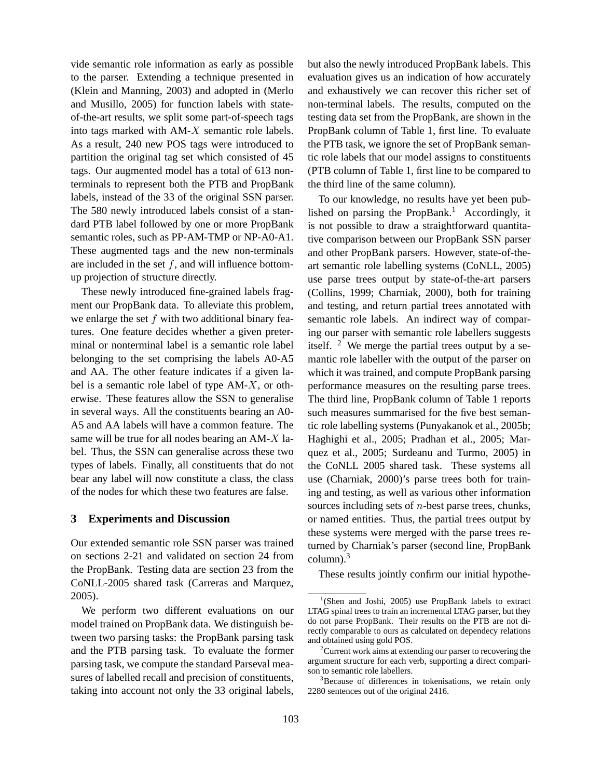vide semantic role information as early as possible to the parser. Extending a technique presented in (Klein and Manning, 2003) and adopted in (Merlo and Musillo, 2005) for function labels with stateof-the-art results, we split some part-of-speech tags into tags marked with AM-X semantic role labels. As a result, 240 new POS tags were introduced to partition the original tag set which consisted of 45 tags. Our augmented model has a total of 613 nonterminals to represent both the PTB and PropBank labels, instead of the 33 of the original SSN parser. The 580 newly introduced labels consist of a standard PTB label followed by one or more PropBank semantic roles, such as PP-AM-TMP or NP-A0-A1. These augmented tags and the new non-terminals are included in the set  $f$ , and will influence bottomup projection of structure directly.

These newly introduced fine-grained labels fragment our PropBank data. To alleviate this problem, we enlarge the set  $f$  with two additional binary features. One feature decides whether a given preterminal or nonterminal label is a semantic role label belonging to the set comprising the labels A0-A5 and AA. The other feature indicates if a given label is a semantic role label of type  $AM-X$ , or otherwise. These features allow the SSN to generalise in several ways. All the constituents bearing an A0- A5 and AA labels will have a common feature. The same will be true for all nodes bearing an  $AM-X$  label. Thus, the SSN can generalise across these two types of labels. Finally, all constituents that do not bear any label will now constitute a class, the class of the nodes for which these two features are false.

#### **3 Experiments and Discussion**

Our extended semantic role SSN parser was trained on sections 2-21 and validated on section 24 from the PropBank. Testing data are section 23 from the CoNLL-2005 shared task (Carreras and Marquez, 2005).

We perform two different evaluations on our model trained on PropBank data. We distinguish between two parsing tasks: the PropBank parsing task and the PTB parsing task. To evaluate the former parsing task, we compute the standard Parseval measures of labelled recall and precision of constituents, taking into account not only the 33 original labels,

but also the newly introduced PropBank labels. This evaluation gives us an indication of how accurately and exhaustively we can recover this richer set of non-terminal labels. The results, computed on the testing data set from the PropBank, are shown in the PropBank column of Table 1, first line. To evaluate the PTB task, we ignore the set of PropBank semantic role labels that our model assigns to constituents (PTB column of Table 1, first line to be compared to the third line of the same column).

To our knowledge, no results have yet been published on parsing the PropBank.<sup>1</sup> Accordingly, it is not possible to draw a straightforward quantitative comparison between our PropBank SSN parser and other PropBank parsers. However, state-of-theart semantic role labelling systems (CoNLL, 2005) use parse trees output by state-of-the-art parsers (Collins, 1999; Charniak, 2000), both for training and testing, and return partial trees annotated with semantic role labels. An indirect way of comparing our parser with semantic role labellers suggests itself.  $2$  We merge the partial trees output by a semantic role labeller with the output of the parser on which it was trained, and compute PropBank parsing performance measures on the resulting parse trees. The third line, PropBank column of Table 1 reports such measures summarised for the five best semantic role labelling systems (Punyakanok et al., 2005b; Haghighi et al., 2005; Pradhan et al., 2005; Marquez et al., 2005; Surdeanu and Turmo, 2005) in the CoNLL 2005 shared task. These systems all use (Charniak, 2000)'s parse trees both for training and testing, as well as various other information sources including sets of  $n$ -best parse trees, chunks, or named entities. Thus, the partial trees output by these systems were merged with the parse trees returned by Charniak's parser (second line, PropBank column). $3$ 

These results jointly confirm our initial hypothe-

<sup>&</sup>lt;sup>1</sup>(Shen and Joshi, 2005) use PropBank labels to extract LTAG spinal trees to train an incremental LTAG parser, but they do not parse PropBank. Their results on the PTB are not directly comparable to ours as calculated on dependecy relations and obtained using gold POS.

<sup>&</sup>lt;sup>2</sup> Current work aims at extending our parser to recovering the argument structure for each verb, supporting a direct comparison to semantic role labellers.

<sup>&</sup>lt;sup>3</sup>Because of differences in tokenisations, we retain only 2280 sentences out of the original 2416.